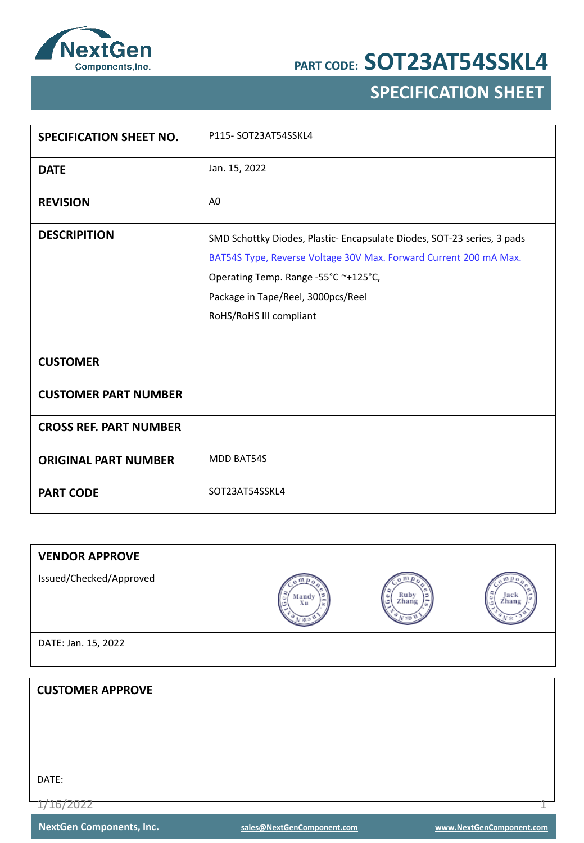

## **SPECIFICATION SHEET**

| <b>SPECIFICATION SHEET NO.</b> | P115-SOT23AT54SSKL4                                                                                                                                                                                                                                  |
|--------------------------------|------------------------------------------------------------------------------------------------------------------------------------------------------------------------------------------------------------------------------------------------------|
| <b>DATE</b>                    | Jan. 15, 2022                                                                                                                                                                                                                                        |
| <b>REVISION</b>                | A <sub>0</sub>                                                                                                                                                                                                                                       |
| <b>DESCRIPITION</b>            | SMD Schottky Diodes, Plastic-Encapsulate Diodes, SOT-23 series, 3 pads<br>BAT54S Type, Reverse Voltage 30V Max. Forward Current 200 mA Max.<br>Operating Temp. Range -55°C ~+125°C,<br>Package in Tape/Reel, 3000pcs/Reel<br>RoHS/RoHS III compliant |
| <b>CUSTOMER</b>                |                                                                                                                                                                                                                                                      |
| <b>CUSTOMER PART NUMBER</b>    |                                                                                                                                                                                                                                                      |
| <b>CROSS REF. PART NUMBER</b>  |                                                                                                                                                                                                                                                      |
| <b>ORIGINAL PART NUMBER</b>    | <b>MDD BAT54S</b>                                                                                                                                                                                                                                    |
| <b>PART CODE</b>               | SOT23AT54SSKL4                                                                                                                                                                                                                                       |

| <b>VENDOR APPROVE</b>   |                  |                                  |                    |
|-------------------------|------------------|----------------------------------|--------------------|
| Issued/Checked/Approved | m<br>Mandy<br>Xu | $\sigma$ m<br>Ruby<br>Zhang<br>٥ | w<br>Jack<br>Zhang |
| DATE: Jan. 15, 2022     |                  |                                  |                    |
|                         |                  |                                  |                    |
| <b>CUSTOMER APPROVE</b> |                  |                                  |                    |
|                         |                  |                                  |                    |
|                         |                  |                                  |                    |
|                         |                  |                                  |                    |
| DATE:                   |                  |                                  |                    |
| <del>1116/909</del>     |                  |                                  |                    |

1/16/2022 1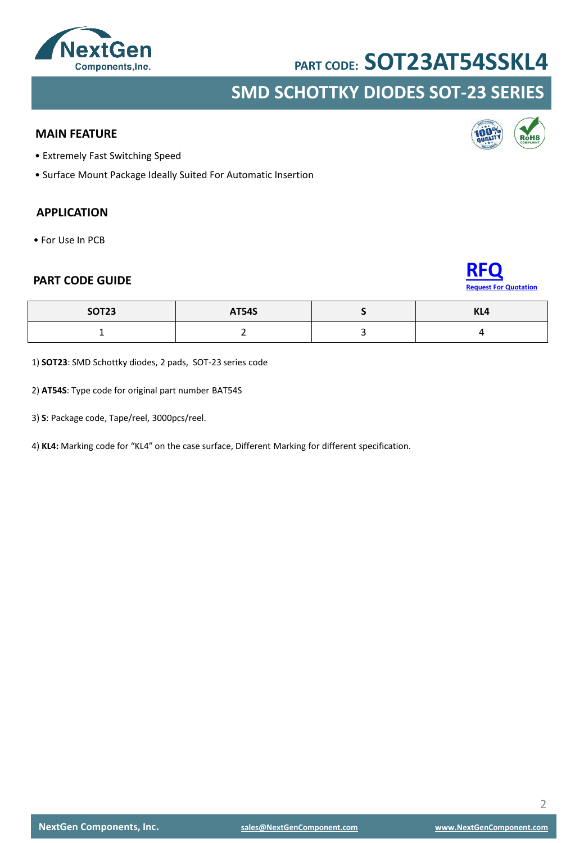

### **SMD SCHOTTKY DIODES SOT-23 SERIES**

#### **MAIN FEATURE**

- Extremely Fast Switching Speed
- Surface Mount Package Ideally Suited For Automatic Insertion

#### **APPLICATION**

• For Use In PCB





| <b>SOT23</b> | <b>AT54S</b> | $\mathbf{V}$<br>NL4 |
|--------------|--------------|---------------------|
|              |              |                     |

1) **SOT23**: SMD Schottky diodes, 2 pads, SOT-23 series code

2) **AT54S**: Type code for original part number BAT54S

3) **S**: Package code, Tape/reel, 3000pcs/reel.

4) **KL4:** Marking code for "KL4" on the case surface, Different Marking for different specification.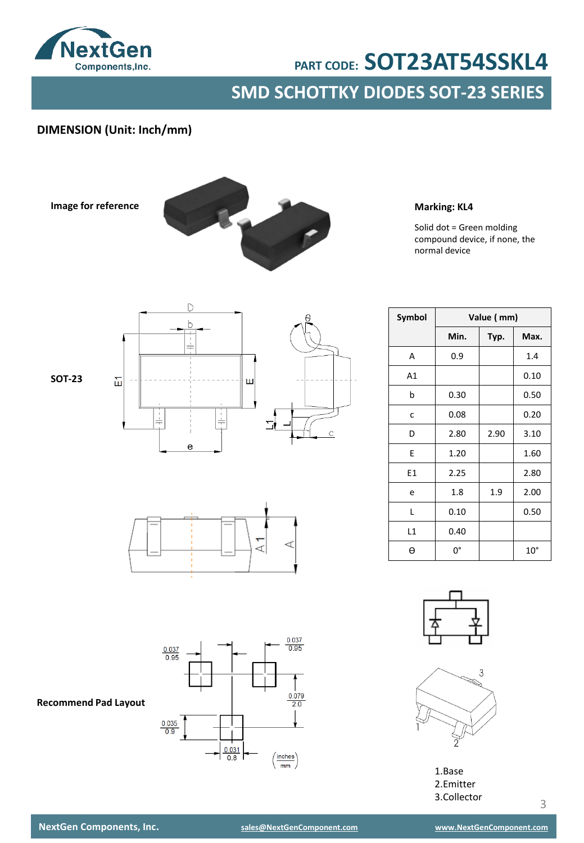

## **SMD SCHOTTKY DIODES SOT-23 SERIES PART CODE: SOT23AT54SSKL4**

#### **DIMENSION (Unit: Inch/mm)**

**Image for reference**



**Marking: KL4**

Solid dot = Green molding compound device, if none, the normal device

**Symbol Value ( mm)**



ď



**Min. Typ. Max.** A | 0.9 | 1.4 A1 0.10 b  $\vert$  0.30  $\vert$  0.50 c |  $0.08$  |  $0.20$  $D$  2.80 2.90 3.10  $E$  1.20 1.60 E1 2.25  $\vert$  2.80 e | 1.8 | 1.9 | 2.00  $L$  0.10 0.50 L1 0.40 Ɵ 0° 10°



1.Base 2.Emitter 3.Collector

#### **Recommend Pad Layout**

**NextGen Components, Inc. [sales@NextGenComponent.com](mailto:sales@NextGenComponent.com) [www.NextGenComponent.com](http://www.nextgencomponent.com/)**

3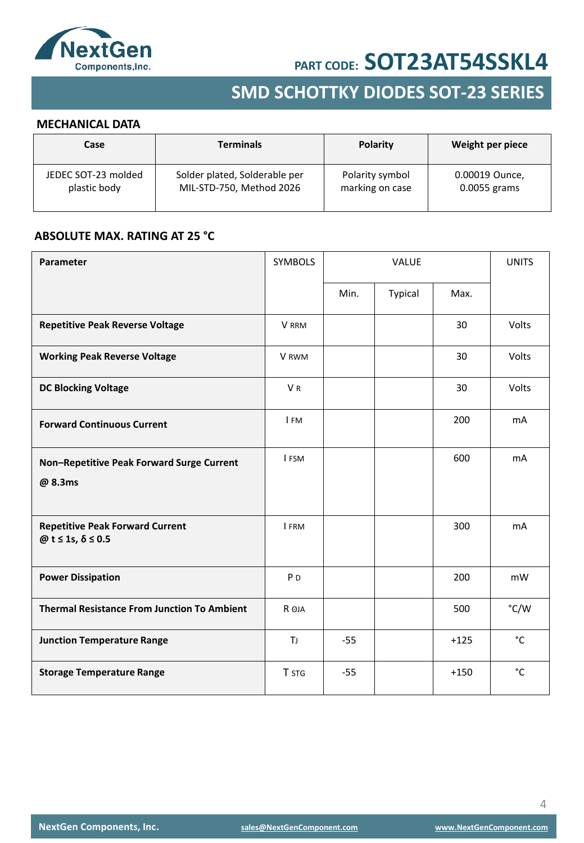

## **SMD SCHOTTKY DIODES SOT-23 SERIES**

#### **MECHANICAL DATA**

| Case                | <b>Terminals</b>              | <b>Polarity</b> | Weight per piece |
|---------------------|-------------------------------|-----------------|------------------|
| JEDEC SOT-23 molded | Solder plated, Solderable per | Polarity symbol | 0.00019 Ounce,   |
| plastic body        | MIL-STD-750, Method 2026      | marking on case | 0.0055 grams     |

#### **ABSOLUTE MAX. RATING AT 25 °C**

| Parameter                                                  | <b>SYMBOLS</b> | VALUE |         | <b>UNITS</b> |              |
|------------------------------------------------------------|----------------|-------|---------|--------------|--------------|
|                                                            |                | Min.  | Typical | Max.         |              |
| <b>Repetitive Peak Reverse Voltage</b>                     | V RRM          |       |         | 30           | Volts        |
| <b>Working Peak Reverse Voltage</b>                        | V RWM          |       |         | 30           | Volts        |
| <b>DC Blocking Voltage</b>                                 | VR             |       |         | 30           | Volts        |
| <b>Forward Continuous Current</b>                          | I FM           |       |         | 200          | mA           |
| Non-Repetitive Peak Forward Surge Current<br>@ 8.3ms       | I FSM          |       |         | 600          | mA           |
| <b>Repetitive Peak Forward Current</b><br>@t ≤ 1s, δ ≤ 0.5 | I FRM          |       |         | 300          | mA           |
| <b>Power Dissipation</b>                                   | P <sub>D</sub> |       |         | 200          | mW           |
| <b>Thermal Resistance From Junction To Ambient</b>         | R OJA          |       |         | 500          | °C/W         |
| <b>Junction Temperature Range</b>                          | TJ             | $-55$ |         | $+125$       | $^{\circ}$ C |
| <b>Storage Temperature Range</b>                           | T STG          | $-55$ |         | $+150$       | $^{\circ}$ C |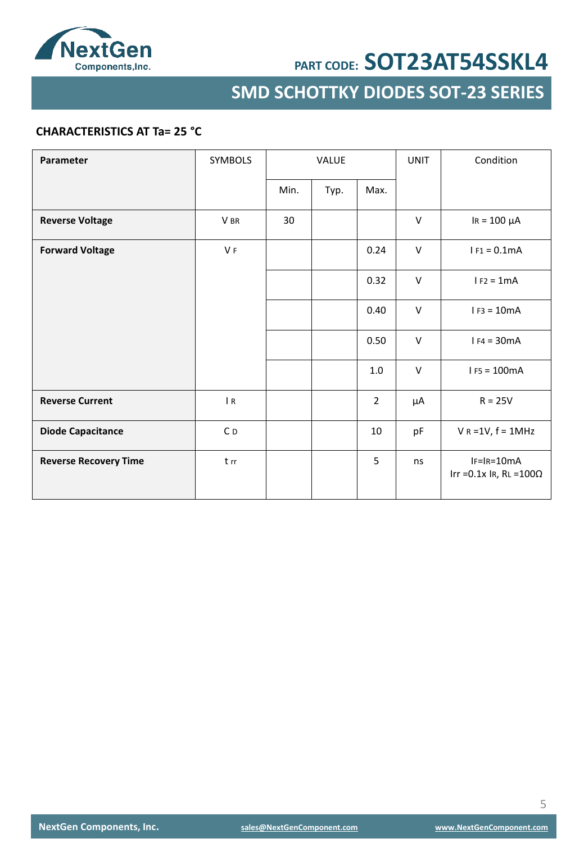

**SMD SCHOTTKY DIODES SOT-23 SERIES**

#### **CHARACTERISTICS AT Ta= 25 °C**

| Parameter                    | <b>SYMBOLS</b> | <b>VALUE</b> |      | <b>UNIT</b>    | Condition |                                                   |
|------------------------------|----------------|--------------|------|----------------|-----------|---------------------------------------------------|
|                              |                | Min.         | Typ. | Max.           |           |                                                   |
| <b>Reverse Voltage</b>       | V BR           | 30           |      |                | $\vee$    | $IR = 100 \mu A$                                  |
| <b>Forward Voltage</b>       | V <sub>F</sub> |              |      | 0.24           | V         | $I F1 = 0.1mA$                                    |
|                              |                |              |      | 0.32           | $\vee$    | $I F2 = 1mA$                                      |
|                              |                |              |      | 0.40           | V         | $I F3 = 10mA$                                     |
|                              |                |              |      | 0.50           | $\vee$    | $I F4 = 30mA$                                     |
|                              |                |              |      | $1.0\,$        | $\vee$    | $I F5 = 100mA$                                    |
| <b>Reverse Current</b>       | $\mathsf{R}$   |              |      | $\overline{2}$ | μA        | $R = 25V$                                         |
| <b>Diode Capacitance</b>     | C <sub>D</sub> |              |      | 10             | pF        | $V R = 1V, f = 1MHz$                              |
| <b>Reverse Recovery Time</b> | t rr           |              |      | 5              | ns        | $IF=IR=10mA$<br>Irr = $0.1x$ Ir, RL = $100\Omega$ |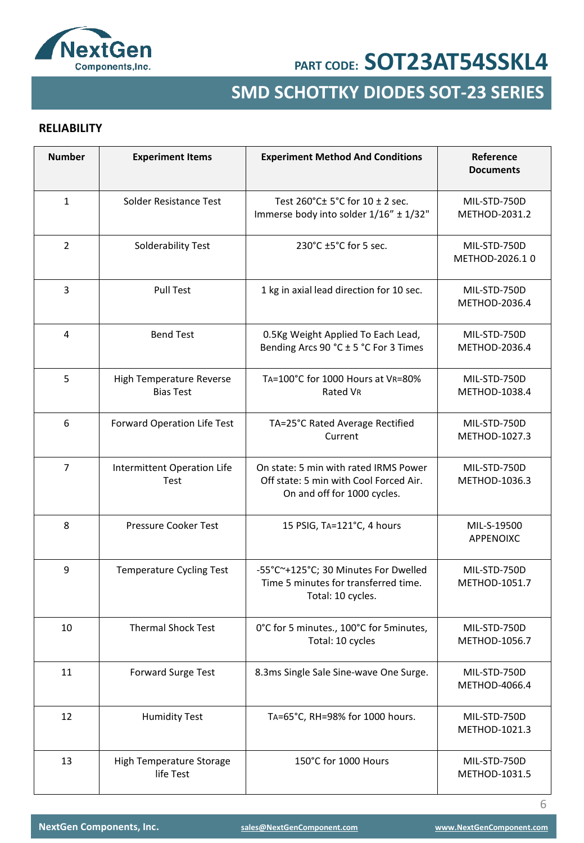

## **SMD SCHOTTKY DIODES SOT-23 SERIES**

#### **RELIABILITY**

| <b>Number</b>  | <b>Experiment Items</b>                      | <b>Experiment Method And Conditions</b>                                                                        | Reference<br><b>Documents</b>  |
|----------------|----------------------------------------------|----------------------------------------------------------------------------------------------------------------|--------------------------------|
| $\mathbf{1}$   | Solder Resistance Test                       | Test 260°C± 5°C for 10 ± 2 sec.<br>Immerse body into solder 1/16" ± 1/32"                                      | MIL-STD-750D<br>METHOD-2031.2  |
| $\overline{2}$ | Solderability Test                           | 230°C ±5°C for 5 sec.                                                                                          | MIL-STD-750D<br>METHOD-2026.10 |
| 3              | <b>Pull Test</b>                             | 1 kg in axial lead direction for 10 sec.                                                                       | MIL-STD-750D<br>METHOD-2036.4  |
| 4              | <b>Bend Test</b>                             | 0.5Kg Weight Applied To Each Lead,<br>Bending Arcs 90 °C ± 5 °C For 3 Times                                    | MIL-STD-750D<br>METHOD-2036.4  |
| 5              | High Temperature Reverse<br><b>Bias Test</b> | TA=100°C for 1000 Hours at VR=80%<br>Rated VR                                                                  | MIL-STD-750D<br>METHOD-1038.4  |
| 6              | Forward Operation Life Test                  | TA=25°C Rated Average Rectified<br>Current                                                                     | MIL-STD-750D<br>METHOD-1027.3  |
| $\overline{7}$ | Intermittent Operation Life<br>Test          | On state: 5 min with rated IRMS Power<br>Off state: 5 min with Cool Forced Air.<br>On and off for 1000 cycles. | MIL-STD-750D<br>METHOD-1036.3  |
| 8              | Pressure Cooker Test                         | 15 PSIG, TA=121°C, 4 hours                                                                                     | MIL-S-19500<br>APPENOIXC       |
| 9              | <b>Temperature Cycling Test</b>              | -55°C~+125°C; 30 Minutes For Dwelled<br>Time 5 minutes for transferred time.<br>Total: 10 cycles.              | MIL-STD-750D<br>METHOD-1051.7  |
| 10             | <b>Thermal Shock Test</b>                    | 0°C for 5 minutes., 100°C for 5 minutes,<br>Total: 10 cycles                                                   | MIL-STD-750D<br>METHOD-1056.7  |
| 11             | Forward Surge Test                           | 8.3ms Single Sale Sine-wave One Surge.                                                                         | MIL-STD-750D<br>METHOD-4066.4  |
| 12             | <b>Humidity Test</b>                         | TA=65°C, RH=98% for 1000 hours.                                                                                | MIL-STD-750D<br>METHOD-1021.3  |
| 13             | High Temperature Storage<br>life Test        | 150°C for 1000 Hours                                                                                           | MIL-STD-750D<br>METHOD-1031.5  |

6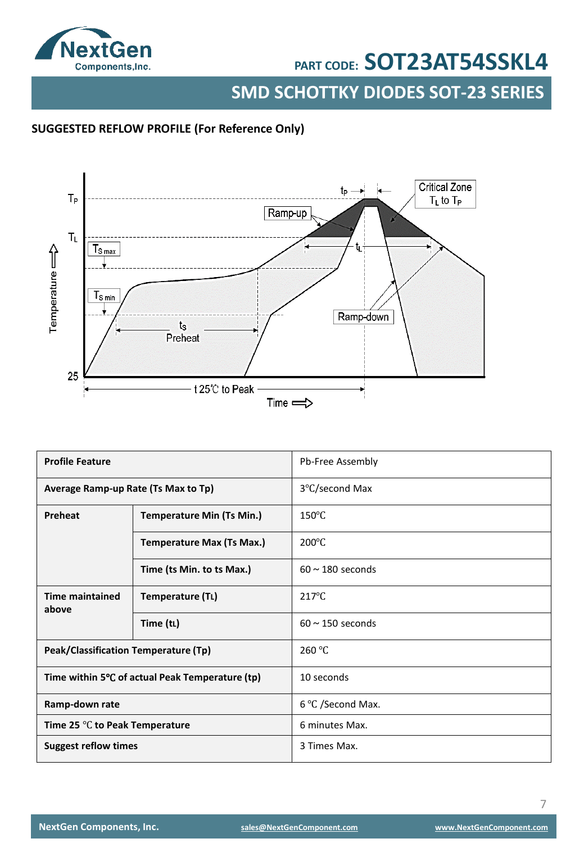

**SMD SCHOTTKY DIODES SOT-23 SERIES**

#### **SUGGESTED REFLOW PROFILE (For Reference Only)**



| <b>Profile Feature</b>                           |                                                 | Pb-Free Assembly      |
|--------------------------------------------------|-------------------------------------------------|-----------------------|
| Average Ramp-up Rate (Ts Max to Tp)              |                                                 | 3°C/second Max        |
| Preheat                                          | <b>Temperature Min (Ts Min.)</b>                | $150^{\circ}$ C       |
|                                                  | <b>Temperature Max (Ts Max.)</b>                | $200^{\circ}$ C       |
|                                                  | Time (ts Min. to ts Max.)                       | $60 \sim 180$ seconds |
| <b>Time maintained</b><br>above                  | Temperature (TL)                                | $217^{\circ}$ C       |
|                                                  | Time (tL)                                       | $60 \sim 150$ seconds |
| Peak/Classification Temperature (Tp)             |                                                 | 260 °C                |
|                                                  | Time within 5°C of actual Peak Temperature (tp) | 10 seconds            |
| Ramp-down rate                                   |                                                 | 6 °C /Second Max.     |
| Time 25 $\mathrm{^{\circ}C}$ to Peak Temperature |                                                 | 6 minutes Max.        |
| <b>Suggest reflow times</b>                      |                                                 | 3 Times Max.          |

7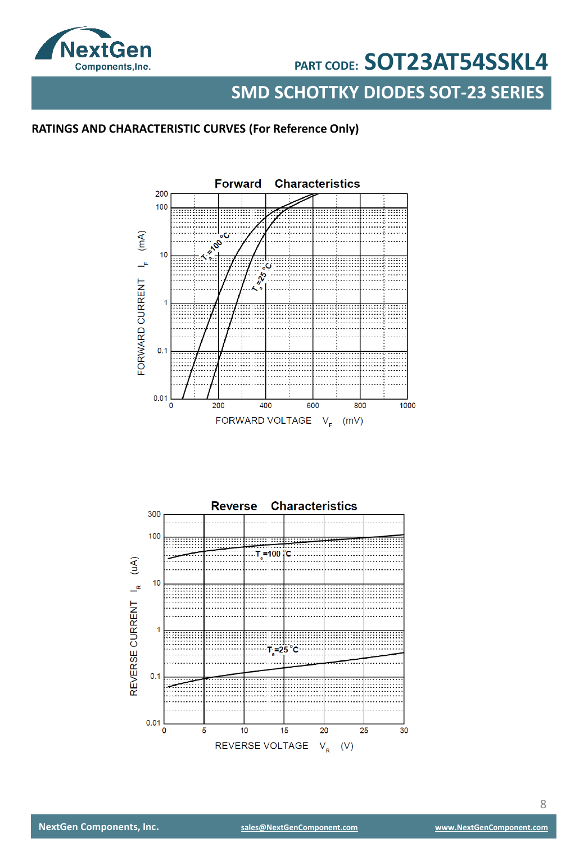

**SMD SCHOTTKY DIODES SOT-23 SERIES**

#### **RATINGS AND CHARACTERISTIC CURVES (For Reference Only)**



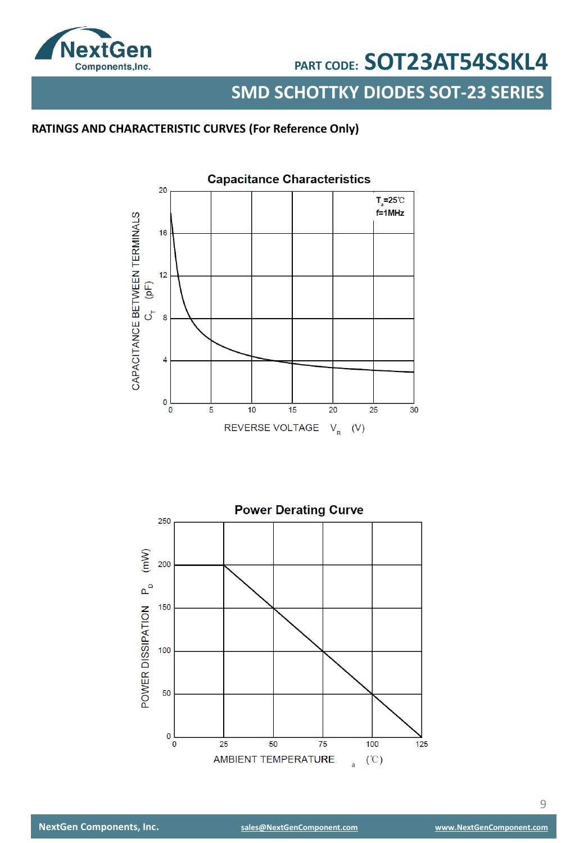

**SMD SCHOTTKY DIODES SOT-23 SERIES**

### **RATINGS AND CHARACTERISTIC CURVES (For Reference Only)**



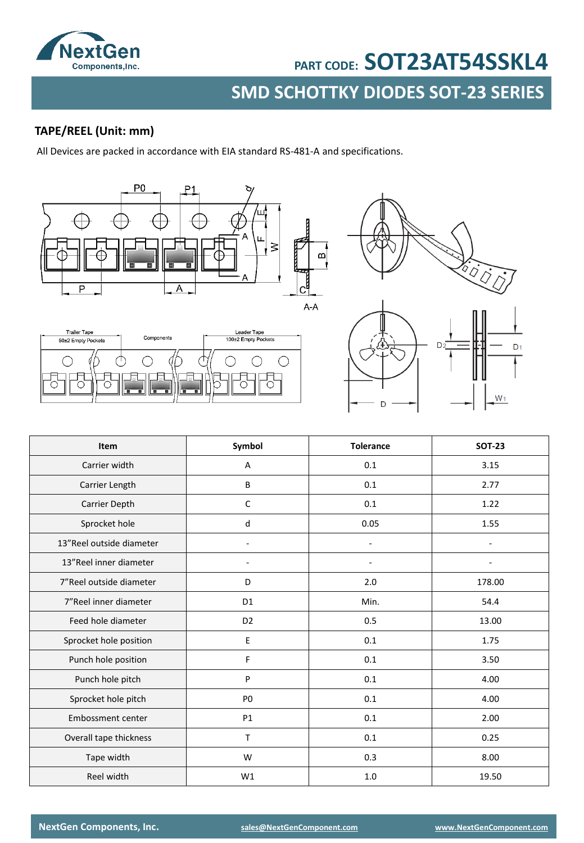

## **SMD SCHOTTKY DIODES SOT-23 SERIES PART CODE: SOT23AT54SSKL4**

#### **TAPE/REEL (Unit: mm)**

All Devices are packed in accordance with EIA standard RS-481-A and specifications.







| Item                     | Symbol         | <b>Tolerance</b> | <b>SOT-23</b> |
|--------------------------|----------------|------------------|---------------|
| Carrier width            | Α              | 0.1              | 3.15          |
| Carrier Length           | B              | 0.1              | 2.77          |
| Carrier Depth            | C              | 0.1              | 1.22          |
| Sprocket hole            | d              | 0.05             | 1.55          |
| 13"Reel outside diameter |                | $\blacksquare$   |               |
| 13"Reel inner diameter   |                | ٠                |               |
| 7"Reel outside diameter  | D              | 2.0              | 178.00        |
| 7"Reel inner diameter    | D <sub>1</sub> | Min.             | 54.4          |
| Feed hole diameter       | D <sub>2</sub> | 0.5              | 13.00         |
| Sprocket hole position   | E              | 0.1              | 1.75          |
| Punch hole position      | F              | 0.1              | 3.50          |
| Punch hole pitch         | P              | 0.1              | 4.00          |
| Sprocket hole pitch      | P <sub>0</sub> | 0.1              | 4.00          |
| Embossment center        | P1             | 0.1              | 2.00          |
| Overall tape thickness   | $\mathsf{T}$   | 0.1              | 0.25          |
| Tape width               | W              | 0.3              | 8.00          |
| Reel width               | W1             | 1.0              | 19.50         |

**NextGen Components, Inc. [sales@NextGenComponent.com](mailto:sales@NextGenComponent.com) [www.NextGenComponent.com](http://www.nextgencomponent.com/)**